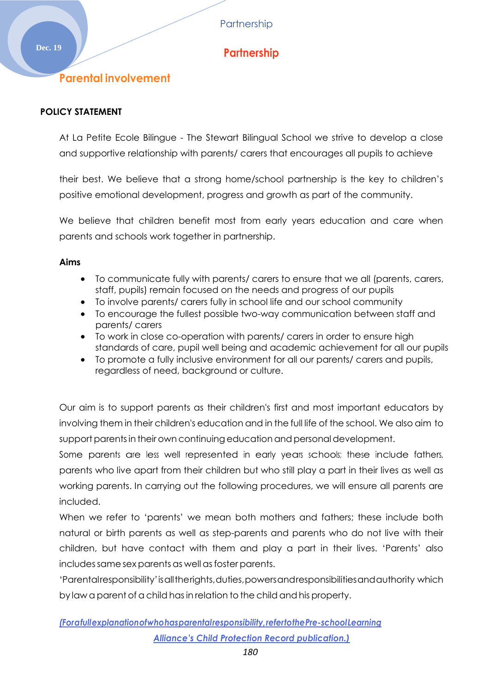# **Dec. 19 Partnership**

## **Parental involvement**

### **POLICY STATEMENT**

At La Petite Ecole Bilingue - The Stewart Bilingual School we strive to develop a close and supportive relationship with parents/ carers that encourages all pupils to achieve

their best. We believe that a strong home/school partnership is the key to children's positive emotional development, progress and growth as part of the community.

We believe that children benefit most from early years education and care when parents and schools work together in partnership.

#### **Aims**

- To communicate fully with parents/ carers to ensure that we all (parents, carers, staff, pupils) remain focused on the needs and progress of our pupils
- To involve parents/ carers fully in school life and our school community
- To encourage the fullest possible two-way communication between staff and parents/ carers
- To work in close co-operation with parents/ carers in order to ensure high standards of care, pupil well being and academic achievement for all our pupils
- To promote a fully inclusive environment for all our parents/ carers and pupils, regardless of need, background or culture.

Our aim is to support parents as their children's first and most important educators by involving them in their children's education and in the full life of the school. We also aim to support parents in their own continuing education and personal development.

Some parents are less well represented in early years schools; these include fathers, parents who live apart from their children but who still play a part in their lives as well as working parents. In carrying out the following procedures, we will ensure all parents are included.

When we refer to 'parents' we mean both mothers and fathers; these include both natural or birth parents as well as step-parents and parents who do not live with their children, but have contact with them and play a part in their lives. 'Parents' also includes same sex parents as well as foster parents.

'Parentalresponsibility'isalltherights,duties,powersandresponsibilitiesandauthority which by law a parentof a child hasin relation to the child and his property.

## *(Forafullexplanationofwhohasparentalresponsibility,refertothePre-schoolLearning Alliance's Child Protection Record publication.)*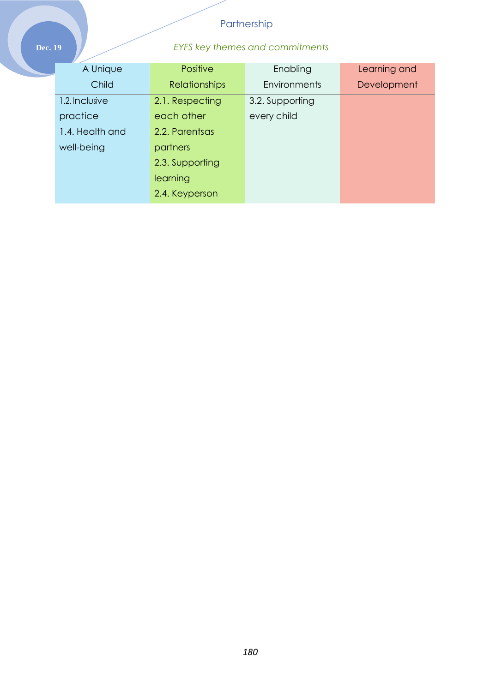## **Dec. 19** *EYFS key themes and commitments*

| A Unique        | Positive             | Enabling            | Learning and |
|-----------------|----------------------|---------------------|--------------|
| Child           | <b>Relationships</b> | <b>Environments</b> | Development  |
| 1.2. Inclusive  | 2.1. Respecting      | 3.2. Supporting     |              |
| practice        | each other           | every child         |              |
| 1.4. Health and | 2.2. Parentsas       |                     |              |
| well-being      | partners             |                     |              |
|                 | 2.3. Supporting      |                     |              |
|                 | learning             |                     |              |
|                 | 2.4. Keyperson       |                     |              |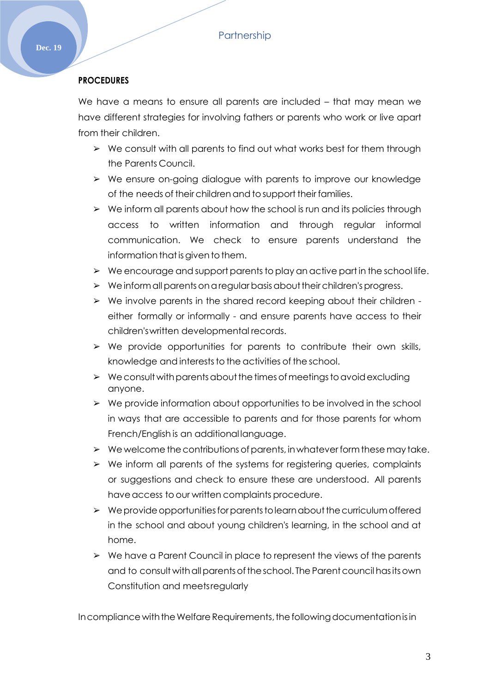## **PROCEDURES**

We have a means to ensure all parents are included – that may mean we have different strategies for involving fathers or parents who work or live apart from their children.

- $\triangleright$  We consult with all parents to find out what works best for them through the Parents Council.
- ➢ We ensure on-going dialogue with parents to improve our knowledge of the needs of theirchildrenand tosupport their families.
- $\triangleright$  We inform all parents about how the school is run and its policies through access to written information and through regular informal communication. We check to ensure parents understand the information that is given to them.
- $\triangleright$  We encourage and support parents to play an active part in the school life.
- $\triangleright$  Weinform all parents on a regular basis about their children's progress.
- ➢ We involve parents in the shared record keeping about their children either formally or informally - and ensure parents have access to their children'swritten developmental records.
- $\triangleright$  We provide opportunities for parents to contribute their own skills, knowledge and interests to the activities of the school.
- $\triangleright$  We consult with parents about the times of meetings to avoid excluding anyone.
- $\triangleright$  We provide information about opportunities to be involved in the school in ways that are accessible to parents and for those parents for whom French/English is an additional language.
- $\triangleright$  We welcome the contributions of parents, in whatever form these may take.
- ➢ We inform all parents of the systems for registering queries, complaints or suggestions and check to ensure these are understood. All parents have access to our written complaints procedure.
- $\triangleright$  We provide opportunities for parents to learn about the curriculum offered in the school and about young children's learning, in the school and at home.
- ➢ We have a Parent Council in place to represent the views of the parents and to consult with all parents of the school. The Parent council has its own Constitution and meetsregularly

In compliance with the Welfare Requirements, the following documentation is in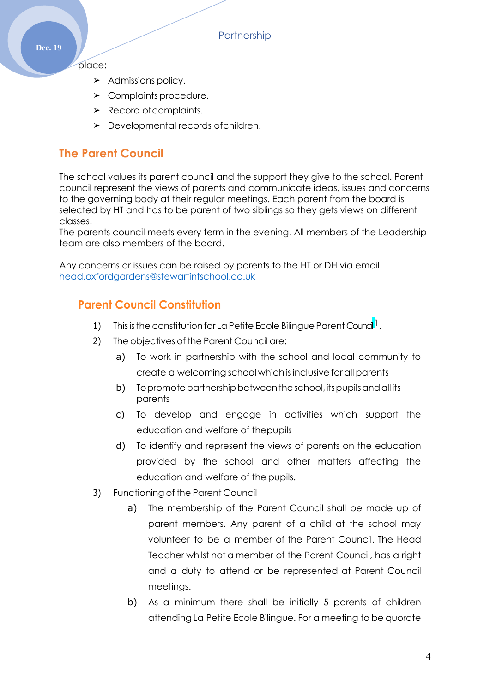place:

- ➢ Admissions policy.
- ➢ Complaints procedure.
- $\triangleright$  Record of complaints.
- ➢ Developmental records ofchildren.

## **The Parent Council**

The school values its parent council and the support they give to the school. Parent council represent the views of parents and communicate ideas, issues and concerns to the governing body at their regular meetings. Each parent from the board is selected by HT and has to be parent of two siblings so they gets views on different classes.

The parents council meets every term in the evening. All members of the Leadership team are also members of the board.

Any concerns or issues can be raised by parents to the HT or DH via email [head.oxfordgardens@stewartintschool.co.uk](mailto:head.oxfordgardens@stewartintschool.co.uk)

## **Parent Council Constitution**

- 1) This is the constitution for La Petite Ecole Bilingue Parent Counci<sup>l</sup>.
- 2) The objectives of the Parent Council are:
	- a) To work in partnership with the school and local community to create a welcoming school which isinclusive for all parents
	- b) Topromote partnership between the school, its pupils and all its parents
	- c) To develop and engage in activities which support the education and welfare of thepupils
	- d) To identify and represent the views of parents on the education provided by the school and other matters affecting the education and welfare of the pupils.
- 3) Functioning of the Parent Council
	- a) The membership of the Parent Council shall be made up of parent members. Any parent of a child at the school may volunteer to be a member of the Parent Council. The Head Teacher whilst not a member of the Parent Council, has a right and a duty to attend or be represented at Parent Council meetings.
	- b) As a minimum there shall be initially 5 parents of children attending La Petite Ecole Bilingue. For a meeting to be quorate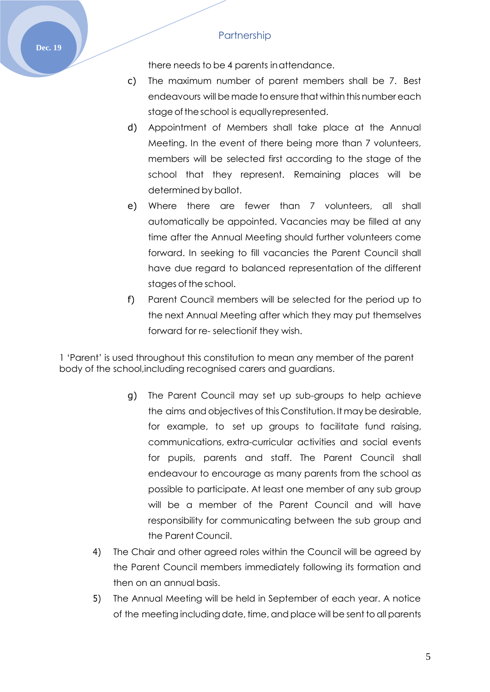**Dec. 19**

there needs to be 4 parents inattendance.

- c) The maximum number of parent members shall be 7. Best endeavours will be made to ensure that within this number each stage of the school is equally represented.
- d) Appointment of Members shall take place at the Annual Meeting. In the event of there being more than 7 volunteers, members will be selected first according to the stage of the school that they represent. Remaining places will be determined by ballot.
- e) Where there are fewer than 7 volunteers, all shall automatically be appointed. Vacancies may be filled at any time after the Annual Meeting should further volunteers come forward. In seeking to fill vacancies the Parent Council shall have due regard to balanced representation of the different stages of the school.
- f) Parent Council members will be selected for the period up to the next Annual Meeting after which they may put themselves forward for re- selectionif they wish.

1 'Parent' is used throughout this constitution to mean any member of the parent body of the school,including recognised carers and guardians.

- g) The Parent Council may set up sub-groups to help achieve the aims and objectives of this Constitution. It may be desirable, for example, to set up groups to facilitate fund raising, communications, extra-curricular activities and social events for pupils, parents and staff. The Parent Council shall endeavour to encourage as many parents from the school as possible to participate. At least one member of any sub group will be a member of the Parent Council and will have responsibility for communicating between the sub group and the Parent Council.
- 4) The Chair and other agreed roles within the Council will be agreed by the Parent Council members immediately following its formation and then on an annual basis.
- 5) The Annual Meeting will be held in September of each year. A notice of the meeting including date, time, and place will be sent to all parents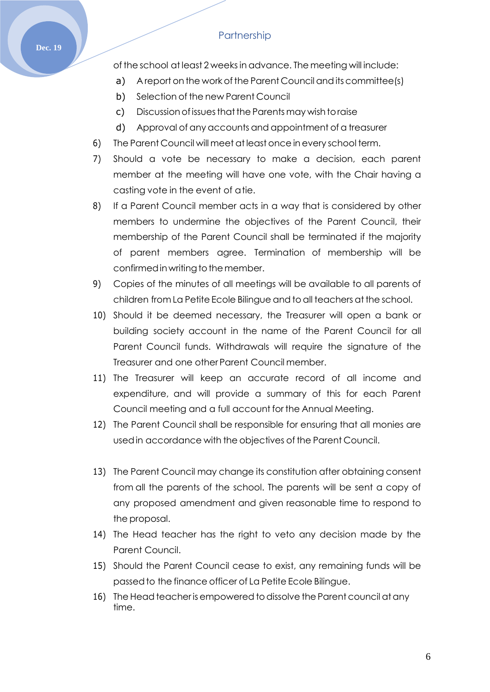of the school at least 2 weeksin advance. The meeting will include:

- a) A report on the work of the Parent Council and its committee (s)
- b) Selection of the new Parent Council
- c) Discussion of issues that the Parents may wish to raise
- d) Approval of any accounts and appointment of a treasurer
- 6) The Parent Council will meet at least once inevery school term.
- 7) Should a vote be necessary to make a decision, each parent member at the meeting will have one vote, with the Chair having a casting vote in the event of atie.
- 8) If a Parent Council member acts in a way that is considered by other members to undermine the objectives of the Parent Council, their membership of the Parent Council shall be terminated if the majority of parent members agree. Termination of membership will be confirmed in writing to the member.
- 9) Copies of the minutes of all meetings will be available to all parents of children from La Petite Ecole Bilingue and to all teachers at the school.
- 10) Should it be deemed necessary, the Treasurer will open a bank or building society account in the name of the Parent Council for all Parent Council funds. Withdrawals will require the signature of the Treasurer and one other Parent Council member.
- 11) The Treasurer will keep an accurate record of all income and expenditure, and will provide a summary of this for each Parent Council meeting and a full account for the Annual Meeting.
- 12) The Parent Council shall be responsible for ensuring that all monies are usedin accordance with the objectives of the Parent Council.
- 13) The Parent Council may change its constitution after obtaining consent from all the parents of the school. The parents will be sent a copy of any proposed amendment and given reasonable time to respond to the proposal.
- 14) The Head teacher has the right to veto any decision made by the Parent Council.
- 15) Should the Parent Council cease to exist, any remaining funds will be passedto the finance officer of La Petite Ecole Bilingue.
- 16) The Head teacher is empowered to dissolve the Parent council at any time.

#### **Dec. 19**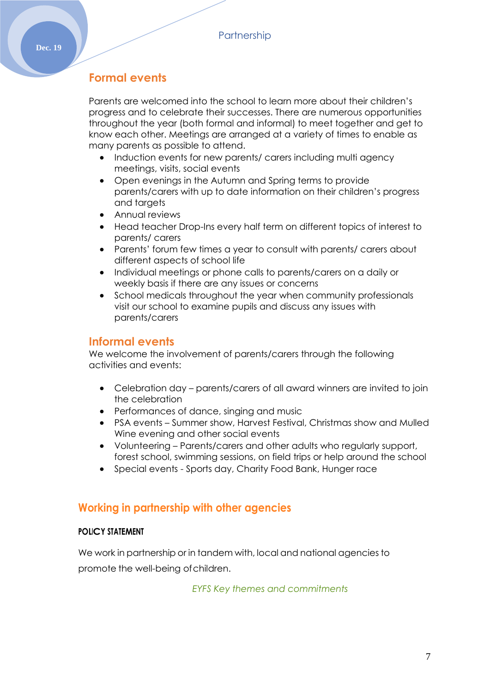## **Formal events**

Parents are welcomed into the school to learn more about their children's progress and to celebrate their successes. There are numerous opportunities throughout the year (both formal and informal) to meet together and get to know each other. Meetings are arranged at a variety of times to enable as many parents as possible to attend.

- Induction events for new parents/ carers including multi agency meetings, visits, social events
- Open evenings in the Autumn and Spring terms to provide parents/carers with up to date information on their children's progress and targets
- Annual reviews
- Head teacher Drop-Ins every half term on different topics of interest to parents/ carers
- Parents' forum few times a year to consult with parents/ carers about different aspects of school life
- Individual meetings or phone calls to parents/carers on a daily or weekly basis if there are any issues or concerns
- School medicals throughout the year when community professionals visit our school to examine pupils and discuss any issues with parents/carers

## **Informal events**

We welcome the involvement of parents/carers through the following activities and events:

- Celebration day parents/carers of all award winners are invited to join the celebration
- Performances of dance, singing and music
- PSA events Summer show, Harvest Festival, Christmas show and Mulled Wine evening and other social events
- Volunteering Parents/carers and other adults who regularly support, forest school, swimming sessions, on field trips or help around the school
- Special events Sports day, Charity Food Bank, Hunger race

## **Working in partnership with other agencies**

### **POLICY STATEMENT**

We work in partnership or in tandem with, local and national agencies to promote the well-being ofchildren.

*EYFS Key themes and commitments*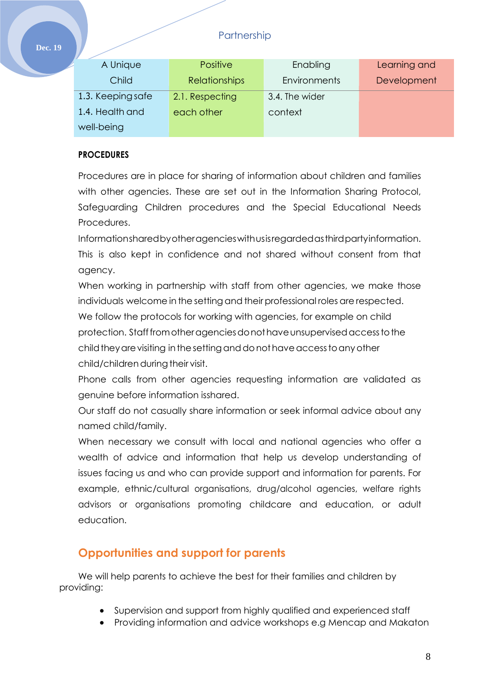| <b>Positive</b>      | Enabling       | Learning and |
|----------------------|----------------|--------------|
| <b>Relationships</b> | Environments   | Development  |
| 2.1. Respecting      | 3.4. The wider |              |
| each other           | context        |              |
|                      |                |              |
|                      |                |              |

### **PROCEDURES**

Procedures are in place for sharing of information about children and families with other agencies. These are set out in the Information Sharing Protocol, Safeguarding Children procedures and the Special Educational Needs Procedures.

Informationsharedbyotheragencieswithusisregardedasthirdpartyinformation. This is also kept in confidence and not shared without consent from that agency.

When working in partnership with staff from other agencies, we make those individuals welcome in the setting and their professional roles are respected. We follow the protocols for working with agencies, for example on child protection. Stafffromotheragenciesdonothaveunsupervisedaccesstothe child they are visiting in the setting and do not have access to any other child/children during their visit.

Phone calls from other agencies requesting information are validated as genuine before information isshared.

Our staff do not casually share information or seek informal advice about any named child/family.

When necessary we consult with local and national agencies who offer a wealth of advice and information that help us develop understanding of issues facing us and who can provide support and information for parents. For example, ethnic/cultural organisations, drug/alcohol agencies, welfare rights advisors or organisations promoting childcare and education, or adult education.

## **Opportunities and support for parents**

We will help parents to achieve the best for their families and children by providing:

- Supervision and support from highly qualified and experienced staff
- Providing information and advice workshops e.g Mencap and Makaton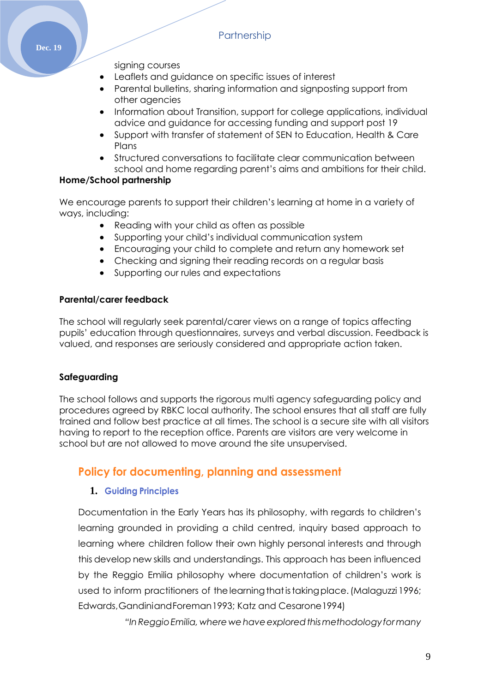signing courses

- Leaflets and guidance on specific issues of interest
- Parental bulletins, sharing information and signposting support from other agencies
- Information about Transition, support for college applications, individual advice and guidance for accessing funding and support post 19
- Support with transfer of statement of SEN to Education, Health & Care Plans
- Structured conversations to facilitate clear communication between school and home regarding parent's aims and ambitions for their child.

### **Home/School partnership**

We encourage parents to support their children's learning at home in a variety of ways, including:

- Reading with your child as often as possible
- Supporting your child's individual communication system
- Encouraging your child to complete and return any homework set
- Checking and signing their reading records on a regular basis
- Supporting our rules and expectations

### **Parental/carer feedback**

The school will regularly seek parental/carer views on a range of topics affecting pupils' education through questionnaires, surveys and verbal discussion. Feedback is valued, and responses are seriously considered and appropriate action taken.

## **Safeguarding**

The school follows and supports the rigorous multi agency safeguarding policy and procedures agreed by RBKC local authority. The school ensures that all staff are fully trained and follow best practice at all times. The school is a secure site with all visitors having to report to the reception office. Parents are visitors are very welcome in school but are not allowed to move around the site unsupervised.

## **Policy for documenting, planning and assessment**

## **1. Guiding Principles**

Documentation in the Early Years has its philosophy, with regards to children's learning grounded in providing a child centred, inquiry based approach to learning where children follow their own highly personal interests and through this develop new skills and understandings. This approach has been influenced by the Reggio Emilia philosophy where documentation of children's work is used to inform practitioners of the learning that is taking place. (Malaguzzi 1996; Edwards,GandiniandForeman1993; Katz and Cesarone1994)

*"InReggioEmilia, where wehaveexploredthismethodologyformany*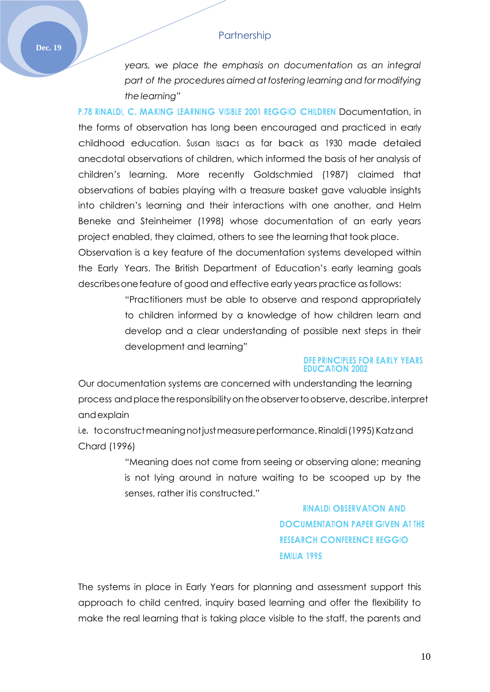*years, we place the emphasis on documentation as an integral part of the procedures aimed at fostering learning and for modifying the learning"*

**P.78 RINALDI, C. MAKING LEARNING VISIBLE 2001 REGGIO CHILDREN** Documentation, in the forms of observation has long been encouraged and practiced in early childhood education. Susan Issacs as far back as 1930 made detailed anecdotal observations of children, which informed the basis of her analysis of children's learning. More recently Goldschmied (1987) claimed that observations of babies playing with a treasure basket gave valuable insights into children's learning and their interactions with one another, and Helm Beneke and Steinheimer (1998) whose documentation of an early years project enabled, they claimed, others to see the learning that took place.

Observation is a key feature of the documentation systems developed within the Early Years. The British Department of Education's early learning goals describesonefeature of good and effective early years practice asfollows:

> "Practitioners must be able to observe and respond appropriately to children informed by a knowledge of how children learn and develop and a clear understanding of possible next steps in their development and learning"

#### **DFE PRINCIPLES FOR EARLY YEARS EDUCATION 2002**

Our documentation systems are concerned with understanding the learning process and place the responsibility on the observer to observe, describe, interpret andexplain

i.e. to construct meaning not just measure performance. Rinaldi (1995) Katzand Chard (1996)

> "Meaning does not come from seeing or observing alone; meaning is not lying around in nature waiting to be scooped up by the senses, rather itis constructed."

> > **RINALDI OBSERVATION AND DOCUMENTATION PAPER GIVEN AT THE RESEARCH CONFERENCE REGGIO EMILIA 1995**

The systems in place in Early Years for planning and assessment support this approach to child centred, inquiry based learning and offer the flexibility to make the real learning that is taking place visible to the staff, the parents and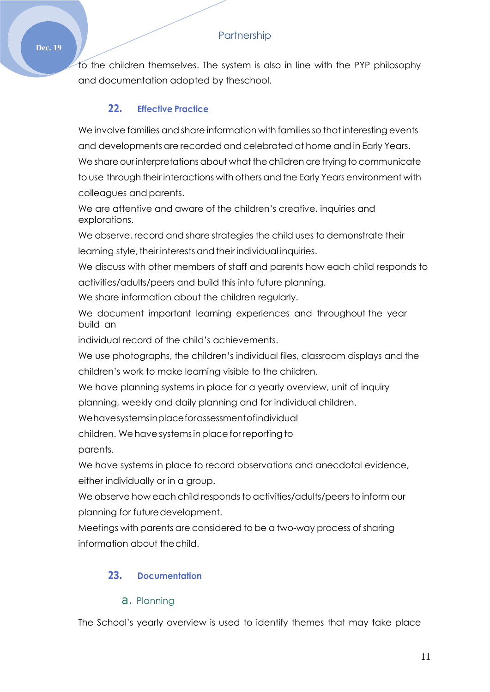to the children themselves. The system is also in line with the PYP philosophy and documentation adopted by theschool.

## **22. Effective Practice**

We involve families and share information with families so that interesting events and developments are recorded and celebrated at home and in Early Years. We share our interpretations about what the children are trying to communicate to use through their interactions with others and the Early Years environment with colleagues and parents.

We are attentive and aware of the children's creative, inquiries and explorations.

We observe, record and share strategies the child uses to demonstrate their learning style, their interests and their individual inquiries.

We discuss with other members of staff and parents how each child responds to activities/adults/peers and build this into future planning.

We share information about the children regularly.

We document important learning experiences and throughout the year build an

individual record of the child's achievements.

We use photographs, the children's individual files, classroom displays and the children's work to make learning visible to the children.

We have planning systems in place for a yearly overview, unit of inquiry

planning, weekly and daily planning and for individual children.

Wehavesystemsinplaceforassessmentofindividual

children. We have systems in place for reporting to parents.

We have systems in place to record observations and anecdotal evidence, either individually or in a group.

We observe how each child responds to activities/adults/peers to inform our planning for futuredevelopment.

Meetings with parents are considered to be a two-way process of sharing information about thechild.

## **23. Documentation**

## a. Planning

The School's yearly overview is used to identify themes that may take place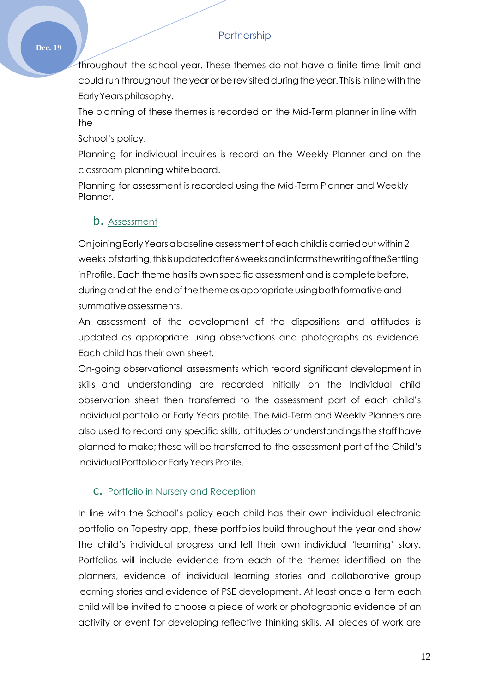throughout the school year. These themes do not have a finite time limit and could run throughout the year or be revisited during the year. This is in line with the EarlyYearsphilosophy.

The planning of these themes is recorded on the Mid-Term planner in line with the

School's policy.

Planning for individual inquiries is record on the Weekly Planner and on the classroom planning whiteboard.

Planning for assessment is recorded using the Mid-Term Planner and Weekly Planner.

## b. Assessment

Onjoining Early Years a baseline assessment of each child is carried out within 2 weeks ofstarting, thisisupdated after 6weeks and informs the writing of the Settling inProfile. Each theme has its own specific assessment and is complete before, during and at the end of the theme as appropriate using both formative and summative assessments.

An assessment of the development of the dispositions and attitudes is updated as appropriate using observations and photographs as evidence. Each child has their own sheet.

On-going observational assessments which record significant development in skills and understanding are recorded initially on the Individual child observation sheet then transferred to the assessment part of each child's individual portfolio or Early Years profile. The Mid-Term and Weekly Planners are also used to record any specific skills, attitudes or understandingsthe staff have planned to make; these will be transferred to the assessment part of the Child's individual Portfolio or Early Years Profile.

#### c. Portfolio in Nursery and Reception

In line with the School's policy each child has their own individual electronic portfolio on Tapestry app, these portfolios build throughout the year and show the child's individual progress and tell their own individual 'learning' story. Portfolios will include evidence from each of the themes identified on the planners, evidence of individual learning stories and collaborative group learning stories and evidence of PSE development. At least once a term each child will be invited to choose a piece of work or photographic evidence of an activity or event for developing reflective thinking skills. All pieces of work are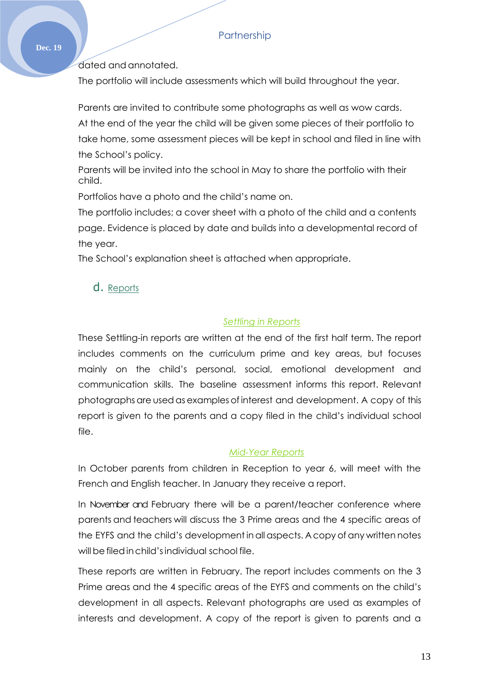#### **Dec. 19**

dated and annotated.

The portfolio will include assessments which will build throughout the year.

Parents are invited to contribute some photographs as well as wow cards. At the end of the year the child will be given some pieces of their portfolio to take home, some assessment pieces will be kept in school and filed in line with the School's policy.

Parents will be invited into the school in May to share the portfolio with their child.

Portfolios have a photo and the child's name on.

The portfolio includes; a cover sheet with a photo of the child and a contents page. Evidence is placed by date and builds into a developmental record of the year.

The School's explanation sheet is attached when appropriate.

## d. Reports

## *Settling in Reports*

These Settling-in reports are written at the end of the first half term. The report includes comments on the curriculum prime and key areas, but focuses mainly on the child's personal, social, emotional development and communication skills. The baseline assessment informs this report. Relevant photographs are usedas examples of interest and development. A copy of this report is given to the parents and a copy filed in the child's individual school file.

### *Mid-Year Reports*

In October parents from children in Reception to year 6, will meet with the French and English teacher. In January they receive a report.

In November and February there will be a parent/teacher conference where parents and teachers will discuss the 3 Prime areas and the 4 specific areas of the EYFS and the child's development inall aspects. Acopy of any written notes will be filed in child's individual school file.

These reports are written in February. The report includes comments on the 3 Prime areas and the 4 specific areas of the EYFS and comments on the child's development in all aspects. Relevant photographs are used as examples of interests and development. A copy of the report is given to parents and a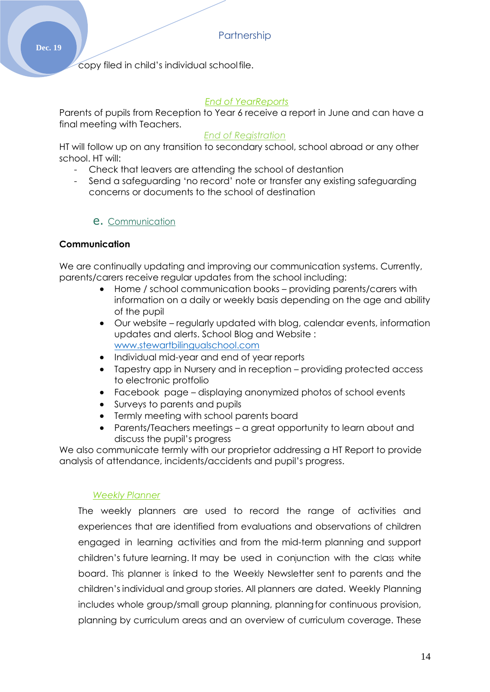copy filed in child's individual schoolfile.

#### *End of YearReports*

Parents of pupils from Reception to Year 6 receive a report in June and can have a final meeting with Teachers.

#### *End of Registration*

HT will follow up on any transition to secondary school, school abroad or any other school. HT will:

- Check that leavers are attending the school of destantion
- Send a safeguarding 'no record' note or transfer any existing safeguarding concerns or documents to the school of destination

### e. Communication

### **Communication**

We are continually updating and improving our communication systems. Currently, parents/carers receive regular updates from the school including:

- Home / school communication books providing parents/carers with information on a daily or weekly basis depending on the age and ability of the pupil
- Our website regularly updated with blog, calendar events, information updates and alerts. School Blog and Website : [www.stewartbilingualschool.com](http://www.stewartbilingualschool.com/)
- Individual mid-year and end of year reports
- Tapestry app in Nursery and in reception providing protected access to electronic protfolio
- Facebook page displaying anonymized photos of school events
- Surveys to parents and pupils
- Termly meeting with school parents board
- Parents/Teachers meetings a great opportunity to learn about and discuss the pupil's progress

We also communicate termly with our proprietor addressing a HT Report to provide analysis of attendance, incidents/accidents and pupil's progress.

#### *Weekly Planner*

The weekly planners are used to record the range of activities and experiences that are identified from evaluations and observations of children engaged in learning activities and from the mid-term planning and support children's future learning. It may be used in conjunction with the class white board. This planner is linked to the Weekly Newsletter sent to parents and the children's individual and group stories. All planners are dated. Weekly Planning includes whole group/small group planning, planningfor continuous provision, planning by curriculum areas and an overview of curriculum coverage. These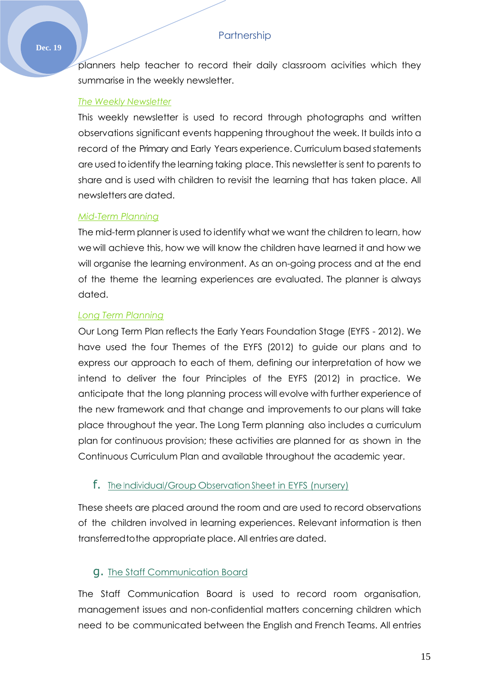planners help teacher to record their daily classroom acivities which they summarise in the weekly newsletter.

#### *The Weekly Newsletter*

This weekly newsletter is used to record through photographs and written observations significant events happening throughout the week. It builds into a record of the Primary and Early Years experience. Curriculum based statements are used toidentify the learning taking place. This newsletter is sent to parents to share and is used with children to revisit the learning that has taken place. All newsletters are dated.

#### *Mid-Term Planning*

The mid-term planner is used to identify what we want the children to learn, how wewill achieve this, how we will know the children have learned it and how we will organise the learning environment. As an on-going process and at the end of the theme the learning experiences are evaluated. The planner is always dated.

#### *Long Term Planning*

Our Long Term Plan reflects the Early Years Foundation Stage (EYFS - 2012). We have used the four Themes of the EYFS (2012) to guide our plans and to express our approach to each of them, defining our interpretation of how we intend to deliver the four Principles of the EYFS (2012) in practice. We anticipate that the long planning process will evolve with further experience of the new framework and that change and improvements to our plans will take place throughout the year. The Long Term planning also includes a curriculum plan for continuous provision; these activities are planned for as shown in the Continuous Curriculum Plan and available throughout the academic year.

### f. The Individual/Group Observation Sheet in EYFS (nursery)

These sheets are placed around the room and are used to record observations of the children involved in learning experiences. Relevant information is then transferredtothe appropriate place. All entries are dated.

### g. The Staff Communication Board

The Staff Communication Board is used to record room organisation, management issues and non-confidential matters concerning children which need to be communicated between the English and French Teams. All entries